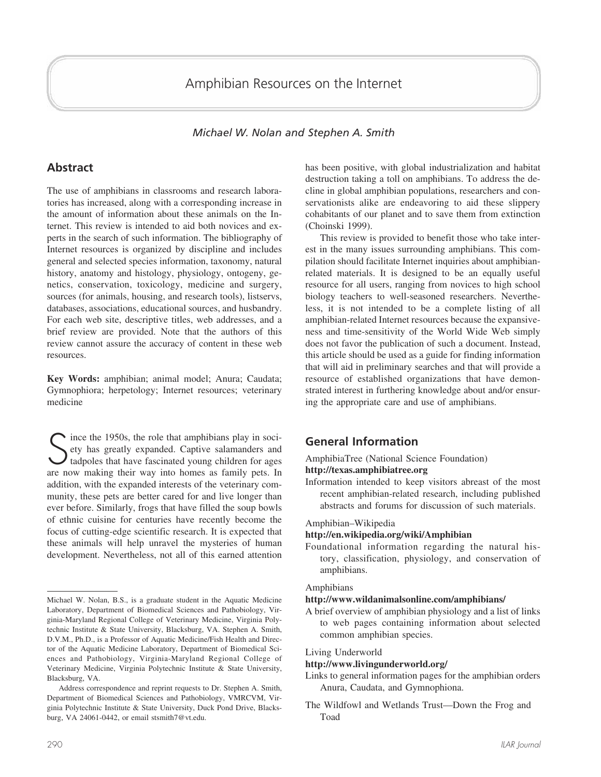*Michael W. Nolan and Stephen A. Smith*

# **Abstract**

The use of amphibians in classrooms and research laboratories has increased, along with a corresponding increase in the amount of information about these animals on the Internet. This review is intended to aid both novices and experts in the search of such information. The bibliography of Internet resources is organized by discipline and includes general and selected species information, taxonomy, natural history, anatomy and histology, physiology, ontogeny, genetics, conservation, toxicology, medicine and surgery, sources (for animals, housing, and research tools), listservs, databases, associations, educational sources, and husbandry. For each web site, descriptive titles, web addresses, and a brief review are provided. Note that the authors of this review cannot assure the accuracy of content in these web resources.

**Key Words:** amphibian; animal model; Anura; Caudata; Gymnophiora; herpetology; Internet resources; veterinary medicine

Since the 1950s, the role that amphibians play in society has greatly expanded. Captive salamanders and tadpoles that have fascinated young children for ages are now making their way into homes as family pets. In ince the 1950s, the role that amphibians play in society has greatly expanded. Captive salamanders and tadpoles that have fascinated young children for ages addition, with the expanded interests of the veterinary community, these pets are better cared for and live longer than ever before. Similarly, frogs that have filled the soup bowls of ethnic cuisine for centuries have recently become the focus of cutting-edge scientific research. It is expected that these animals will help unravel the mysteries of human development. Nevertheless, not all of this earned attention has been positive, with global industrialization and habitat destruction taking a toll on amphibians. To address the decline in global amphibian populations, researchers and conservationists alike are endeavoring to aid these slippery cohabitants of our planet and to save them from extinction (Choinski 1999).

This review is provided to benefit those who take interest in the many issues surrounding amphibians. This compilation should facilitate Internet inquiries about amphibianrelated materials. It is designed to be an equally useful resource for all users, ranging from novices to high school biology teachers to well-seasoned researchers. Nevertheless, it is not intended to be a complete listing of all amphibian-related Internet resources because the expansiveness and time-sensitivity of the World Wide Web simply does not favor the publication of such a document. Instead, this article should be used as a guide for finding information that will aid in preliminary searches and that will provide a resource of established organizations that have demonstrated interest in furthering knowledge about and/or ensuring the appropriate care and use of amphibians.

# **General Information**

AmphibiaTree (National Science Foundation)

# **http://texas.amphibiatree.org**

Information intended to keep visitors abreast of the most recent amphibian-related research, including published abstracts and forums for discussion of such materials.

#### Amphibian–Wikipedia

#### **http://en.wikipedia.org/wiki/Amphibian**

Foundational information regarding the natural history, classification, physiology, and conservation of amphibians.

#### Amphibians

#### **http://www.wildanimalsonline.com/amphibians/**

A brief overview of amphibian physiology and a list of links to web pages containing information about selected common amphibian species.

#### Living Underworld

#### **http://www.livingunderworld.org/**

- Links to general information pages for the amphibian orders Anura, Caudata, and Gymnophiona.
- The Wildfowl and Wetlands Trust—Down the Frog and Toad

Michael W. Nolan, B.S., is a graduate student in the Aquatic Medicine Laboratory, Department of Biomedical Sciences and Pathobiology, Virginia-Maryland Regional College of Veterinary Medicine, Virginia Polytechnic Institute & State University, Blacksburg, VA. Stephen A. Smith, D.V.M., Ph.D., is a Professor of Aquatic Medicine/Fish Health and Director of the Aquatic Medicine Laboratory, Department of Biomedical Sciences and Pathobiology, Virginia-Maryland Regional College of Veterinary Medicine, Virginia Polytechnic Institute & State University, Blacksburg, VA.

Address correspondence and reprint requests to Dr. Stephen A. Smith, Department of Biomedical Sciences and Pathobiology, VMRCVM, Virginia Polytechnic Institute & State University, Duck Pond Drive, Blacksburg, VA 24061-0442, or email stsmith7@vt.edu.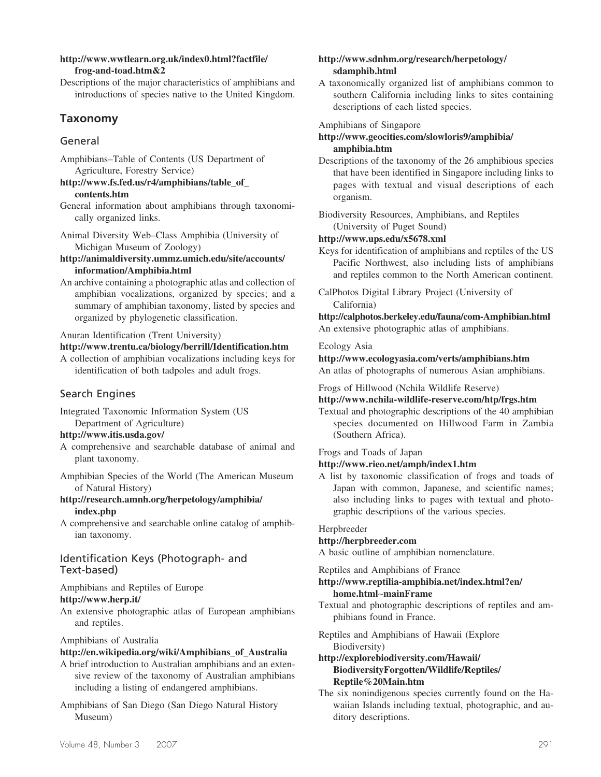#### **http://www.wwtlearn.org.uk/index0.html?factfile/ frog-and-toad.htm&2**

Descriptions of the major characteristics of amphibians and introductions of species native to the United Kingdom.

# **Taxonomy**

# General

Amphibians–Table of Contents (US Department of Agriculture, Forestry Service)

### **http://www.fs.fed.us/r4/amphibians/table\_of\_ contents.htm**

General information about amphibians through taxonomically organized links.

Animal Diversity Web–Class Amphibia (University of Michigan Museum of Zoology)

### **http://animaldiversity.ummz.umich.edu/site/accounts/ information/Amphibia.html**

An archive containing a photographic atlas and collection of amphibian vocalizations, organized by species; and a summary of amphibian taxonomy, listed by species and organized by phylogenetic classification.

#### Anuran Identification (Trent University)

### **http://www.trentu.ca/biology/berrill/Identification.htm**

A collection of amphibian vocalizations including keys for identification of both tadpoles and adult frogs.

# Search Engines

Integrated Taxonomic Information System (US Department of Agriculture)

#### **http://www.itis.usda.gov/**

- A comprehensive and searchable database of animal and plant taxonomy.
- Amphibian Species of the World (The American Museum of Natural History)

### **http://research.amnh.org/herpetology/amphibia/ index.php**

A comprehensive and searchable online catalog of amphibian taxonomy.

# Identification Keys (Photograph- and Text-based)

# Amphibians and Reptiles of Europe **http://www.herp.it/**

An extensive photographic atlas of European amphibians and reptiles.

#### Amphibians of Australia

#### **http://en.wikipedia.org/wiki/Amphibians\_of\_Australia**

- A brief introduction to Australian amphibians and an extensive review of the taxonomy of Australian amphibians including a listing of endangered amphibians.
- Amphibians of San Diego (San Diego Natural History Museum)

### **http://www.sdnhm.org/research/herpetology/ sdamphib.html**

A taxonomically organized list of amphibians common to southern California including links to sites containing descriptions of each listed species.

#### Amphibians of Singapore

# **http://www.geocities.com/slowloris9/amphibia/ amphibia.htm**

Descriptions of the taxonomy of the 26 amphibious species that have been identified in Singapore including links to pages with textual and visual descriptions of each organism.

Biodiversity Resources, Amphibians, and Reptiles (University of Puget Sound)

#### **http://www.ups.edu/x5678.xml**

Keys for identification of amphibians and reptiles of the US Pacific Northwest, also including lists of amphibians and reptiles common to the North American continent.

CalPhotos Digital Library Project (University of California)

**http://calphotos.berkeley.edu/fauna/com-Amphibian.html** An extensive photographic atlas of amphibians.

#### Ecology Asia

**http://www.ecologyasia.com/verts/amphibians.htm** An atlas of photographs of numerous Asian amphibians.

#### Frogs of Hillwood (Nchila Wildlife Reserve)

**http://www.nchila-wildlife-reserve.com/htp/frgs.htm**

Textual and photographic descriptions of the 40 amphibian species documented on Hillwood Farm in Zambia (Southern Africa).

# Frogs and Toads of Japan

# **http://www.rieo.net/amph/index1.htm**

A list by taxonomic classification of frogs and toads of Japan with common, Japanese, and scientific names; also including links to pages with textual and photographic descriptions of the various species.

#### Herpbreeder

#### **http://herpbreeder.com**

A basic outline of amphibian nomenclature.

Reptiles and Amphibians of France

#### **http://www.reptilia-amphibia.net/index.html?en/ home.html**∼**mainFrame**

- Textual and photographic descriptions of reptiles and amphibians found in France.
- Reptiles and Amphibians of Hawaii (Explore Biodiversity)

# **http://explorebiodiversity.com/Hawaii/ BiodiversityForgotten/Wildlife/Reptiles/ Reptile%20Main.htm**

The six nonindigenous species currently found on the Hawaiian Islands including textual, photographic, and auditory descriptions.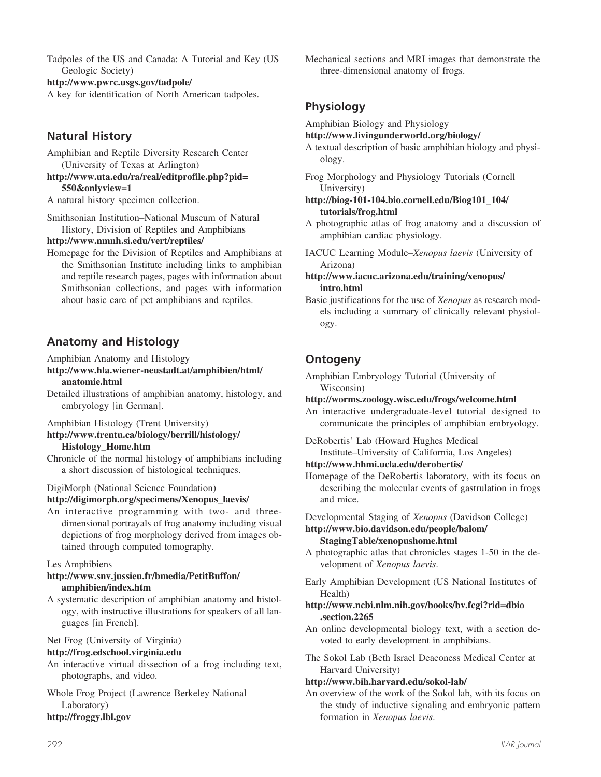Tadpoles of the US and Canada: A Tutorial and Key (US Geologic Society)

**http://www.pwrc.usgs.gov/tadpole/**

A key for identification of North American tadpoles.

# **Natural History**

- Amphibian and Reptile Diversity Research Center (University of Texas at Arlington)
- **http://www.uta.edu/ra/real/editprofile.php?pid= 550&onlyview=1**

A natural history specimen collection.

Smithsonian Institution–National Museum of Natural History, Division of Reptiles and Amphibians

### **http://www.nmnh.si.edu/vert/reptiles/**

Homepage for the Division of Reptiles and Amphibians at the Smithsonian Institute including links to amphibian and reptile research pages, pages with information about Smithsonian collections, and pages with information about basic care of pet amphibians and reptiles.

# **Anatomy and Histology**

### Amphibian Anatomy and Histology

- **http://www.hla.wiener-neustadt.at/amphibien/html/ anatomie.html**
- Detailed illustrations of amphibian anatomy, histology, and embryology [in German].

# Amphibian Histology (Trent University)

### **http://www.trentu.ca/biology/berrill/histology/ Histology\_Home.htm**

Chronicle of the normal histology of amphibians including a short discussion of histological techniques.

# DigiMorph (National Science Foundation)

# **http://digimorph.org/specimens/Xenopus\_laevis/**

An interactive programming with two- and threedimensional portrayals of frog anatomy including visual depictions of frog morphology derived from images obtained through computed tomography.

#### Les Amphibiens

# **http://www.snv.jussieu.fr/bmedia/PetitBuffon/ amphibien/index.htm**

A systematic description of amphibian anatomy and histology, with instructive illustrations for speakers of all languages [in French].

# Net Frog (University of Virginia)

# **http://frog.edschool.virginia.edu**

An interactive virtual dissection of a frog including text, photographs, and video.

Whole Frog Project (Lawrence Berkeley National Laboratory) **http://froggy.lbl.gov**

Mechanical sections and MRI images that demonstrate the three-dimensional anatomy of frogs.

# **Physiology**

Amphibian Biology and Physiology

#### **http://www.livingunderworld.org/biology/**

- A textual description of basic amphibian biology and physiology.
- Frog Morphology and Physiology Tutorials (Cornell University)
- **http://biog-101-104.bio.cornell.edu/Biog101\_104/ tutorials/frog.html**
- A photographic atlas of frog anatomy and a discussion of amphibian cardiac physiology.
- IACUC Learning Module–*Xenopus laevis* (University of Arizona)

### **http://www.iacuc.arizona.edu/training/xenopus/ intro.html**

Basic justifications for the use of *Xenopus* as research models including a summary of clinically relevant physiology.

# **Ontogeny**

Amphibian Embryology Tutorial (University of Wisconsin)

**http://worms.zoology.wisc.edu/frogs/welcome.html**

An interactive undergraduate-level tutorial designed to communicate the principles of amphibian embryology.

DeRobertis' Lab (Howard Hughes Medical Institute–University of California, Los Angeles)

# **http://www.hhmi.ucla.edu/derobertis/**

Homepage of the DeRobertis laboratory, with its focus on describing the molecular events of gastrulation in frogs and mice.

Developmental Staging of *Xenopus* (Davidson College) **http://www.bio.davidson.edu/people/balom/**

**StagingTable/xenopushome.html**

- A photographic atlas that chronicles stages 1-50 in the development of *Xenopus laevis*.
- Early Amphibian Development (US National Institutes of Health)

# **http://www.ncbi.nlm.nih.gov/books/bv.fcgi?rid=dbio .section.2265**

- An online developmental biology text, with a section devoted to early development in amphibians.
- The Sokol Lab (Beth Israel Deaconess Medical Center at Harvard University)

# **http://www.bih.harvard.edu/sokol-lab/**

An overview of the work of the Sokol lab, with its focus on the study of inductive signaling and embryonic pattern formation in *Xenopus laevis*.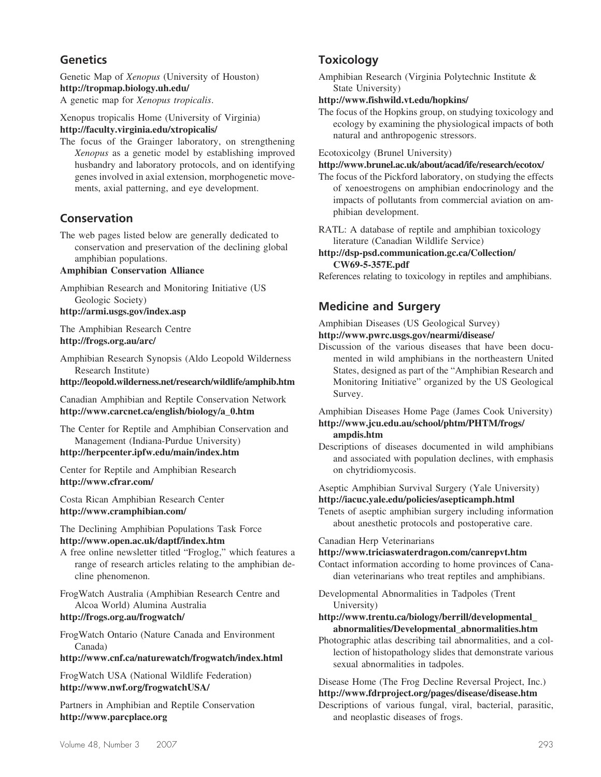# **Genetics**

Genetic Map of *Xenopus* (University of Houston) **http://tropmap.biology.uh.edu/** A genetic map for *Xenopus tropicalis*.

Xenopus tropicalis Home (University of Virginia) **http://faculty.virginia.edu/xtropicalis/**

The focus of the Grainger laboratory, on strengthening *Xenopus* as a genetic model by establishing improved husbandry and laboratory protocols, and on identifying genes involved in axial extension, morphogenetic movements, axial patterning, and eye development.

# **Conservation**

The web pages listed below are generally dedicated to conservation and preservation of the declining global amphibian populations.

# **Amphibian Conservation Alliance**

Amphibian Research and Monitoring Initiative (US Geologic Society)

# **http://armi.usgs.gov/index.asp**

The Amphibian Research Centre **http://frogs.org.au/arc/**

Amphibian Research Synopsis (Aldo Leopold Wilderness Research Institute)

**http://leopold.wilderness.net/research/wildlife/amphib.htm**

Canadian Amphibian and Reptile Conservation Network **http://www.carcnet.ca/english/biology/a\_0.htm**

The Center for Reptile and Amphibian Conservation and Management (Indiana-Purdue University)

# **http://herpcenter.ipfw.edu/main/index.htm**

Center for Reptile and Amphibian Research **http://www.cfrar.com/**

Costa Rican Amphibian Research Center **http://www.cramphibian.com/**

The Declining Amphibian Populations Task Force **http://www.open.ac.uk/daptf/index.htm**

A free online newsletter titled "Froglog," which features a range of research articles relating to the amphibian decline phenomenon.

FrogWatch Australia (Amphibian Research Centre and Alcoa World) Alumina Australia

# **http://frogs.org.au/frogwatch/**

FrogWatch Ontario (Nature Canada and Environment Canada)

**http://www.cnf.ca/naturewatch/frogwatch/index.html**

FrogWatch USA (National Wildlife Federation) **http://www.nwf.org/frogwatchUSA/**

Partners in Amphibian and Reptile Conservation **http://www.parcplace.org**

# **Toxicology**

Amphibian Research (Virginia Polytechnic Institute & State University)

# **http://www.fishwild.vt.edu/hopkins/**

The focus of the Hopkins group, on studying toxicology and ecology by examining the physiological impacts of both natural and anthropogenic stressors.

### Ecotoxicolgy (Brunel University)

**http://www.brunel.ac.uk/about/acad/ife/research/ecotox/**

The focus of the Pickford laboratory, on studying the effects of xenoestrogens on amphibian endocrinology and the impacts of pollutants from commercial aviation on amphibian development.

RATL: A database of reptile and amphibian toxicology literature (Canadian Wildlife Service)

### **http://dsp-psd.communication.gc.ca/Collection/ CW69-5-357E.pdf**

References relating to toxicology in reptiles and amphibians.

# **Medicine and Surgery**

Amphibian Diseases (US Geological Survey)

**http://www.pwrc.usgs.gov/nearmi/disease/**

Discussion of the various diseases that have been documented in wild amphibians in the northeastern United States, designed as part of the "Amphibian Research and Monitoring Initiative" organized by the US Geological Survey.

Amphibian Diseases Home Page (James Cook University) **http://www.jcu.edu.au/school/phtm/PHTM/frogs/**

### **ampdis.htm**

Descriptions of diseases documented in wild amphibians and associated with population declines, with emphasis on chytridiomycosis.

Aseptic Amphibian Survival Surgery (Yale University) **http://iacuc.yale.edu/policies/asepticamph.html**

Tenets of aseptic amphibian surgery including information about anesthetic protocols and postoperative care.

# Canadian Herp Veterinarians

# **http://www.triciaswaterdragon.com/canrepvt.htm**

- Contact information according to home provinces of Canadian veterinarians who treat reptiles and amphibians.
- Developmental Abnormalities in Tadpoles (Trent University)

**http://www.trentu.ca/biology/berrill/developmental\_ abnormalities/Developmental\_abnormalities.htm**

Photographic atlas describing tail abnormalities, and a collection of histopathology slides that demonstrate various sexual abnormalities in tadpoles.

Disease Home (The Frog Decline Reversal Project, Inc.) **http://www.fdrproject.org/pages/disease/disease.htm** Descriptions of various fungal, viral, bacterial, parasitic,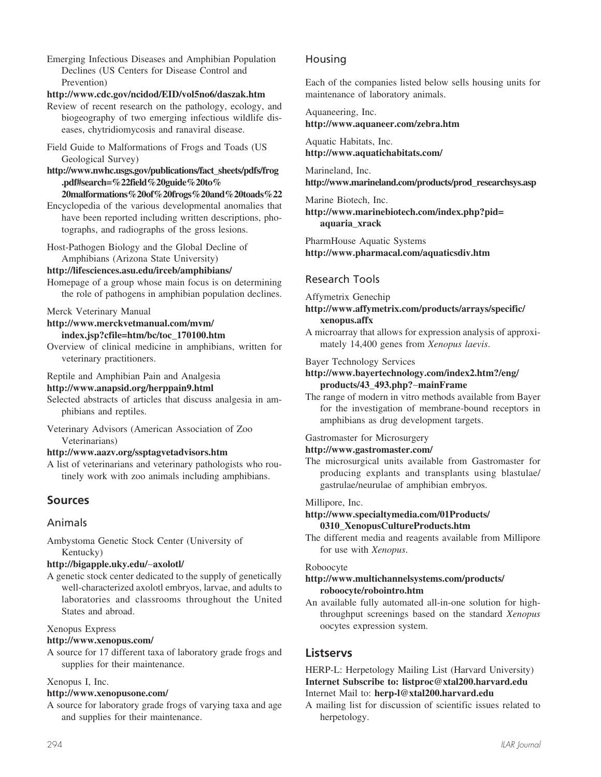Emerging Infectious Diseases and Amphibian Population Declines (US Centers for Disease Control and Prevention)

# **http://www.cdc.gov/ncidod/EID/vol5no6/daszak.htm**

Review of recent research on the pathology, ecology, and biogeography of two emerging infectious wildlife diseases, chytridiomycosis and ranaviral disease.

Field Guide to Malformations of Frogs and Toads (US Geological Survey)

**http://www.nwhc.usgs.gov/publications/fact\_sheets/pdfs/frog .pdf#search=%22field%20guide%20to%**

**20malformations%20of%20frogs%20and%20toads%22** Encyclopedia of the various developmental anomalies that have been reported including written descriptions, pho-

tographs, and radiographs of the gross lesions. Host-Pathogen Biology and the Global Decline of

Amphibians (Arizona State University)

# **http://lifesciences.asu.edu/irceb/amphibians/**

Homepage of a group whose main focus is on determining the role of pathogens in amphibian population declines.

Merck Veterinary Manual

# **http://www.merckvetmanual.com/mvm/**

**index.jsp?cfile=htm/bc/toc\_170100.htm**

Overview of clinical medicine in amphibians, written for veterinary practitioners.

Reptile and Amphibian Pain and Analgesia

# **http://www.anapsid.org/herppain9.html**

Selected abstracts of articles that discuss analgesia in amphibians and reptiles.

Veterinary Advisors (American Association of Zoo Veterinarians)

# **http://www.aazv.org/ssptagvetadvisors.htm**

A list of veterinarians and veterinary pathologists who routinely work with zoo animals including amphibians.

# **Sources**

# Animals

Ambystoma Genetic Stock Center (University of Kentucky)

# **http://bigapple.uky.edu/**∼**axolotl/**

A genetic stock center dedicated to the supply of genetically well-characterized axolotl embryos, larvae, and adults to laboratories and classrooms throughout the United States and abroad.

#### Xenopus Express

# **http://www.xenopus.com/**

A source for 17 different taxa of laboratory grade frogs and supplies for their maintenance.

# Xenopus I, Inc.

#### **http://www.xenopusone.com/**

A source for laboratory grade frogs of varying taxa and age and supplies for their maintenance.

# Housing

Each of the companies listed below sells housing units for maintenance of laboratory animals.

Aquaneering, Inc. **http://www.aquaneer.com/zebra.htm**

Aquatic Habitats, Inc. **http://www.aquatichabitats.com/**

Marineland, Inc. **http://www.marineland.com/products/prod\_researchsys.asp**

Marine Biotech, Inc.

**http://www.marinebiotech.com/index.php?pid= aquaria\_xrack**

PharmHouse Aquatic Systems **http://www.pharmacal.com/aquaticsdiv.htm**

# Research Tools

Affymetrix Genechip

### **http://www.affymetrix.com/products/arrays/specific/ xenopus.affx**

A microarray that allows for expression analysis of approximately 14,400 genes from *Xenopus laevis*.

Bayer Technology Services

# **http://www.bayertechnology.com/index2.htm?/eng/ products/43\_493.php?**∼**mainFrame**

The range of modern in vitro methods available from Bayer for the investigation of membrane-bound receptors in amphibians as drug development targets.

# Gastromaster for Microsurgery

**http://www.gastromaster.com/**

The microsurgical units available from Gastromaster for producing explants and transplants using blastulae/ gastrulae/neurulae of amphibian embryos.

### Millipore, Inc.

# **http://www.specialtymedia.com/01Products/ 0310\_XenopusCultureProducts.htm**

The different media and reagents available from Millipore for use with *Xenopus*.

### Roboocyte

**http://www.multichannelsystems.com/products/ roboocyte/robointro.htm**

An available fully automated all-in-one solution for highthroughput screenings based on the standard *Xenopus* oocytes expression system.

# **Listservs**

# HERP-L: Herpetology Mailing List (Harvard University) **Internet Subscribe to: listproc@xtal200.harvard.edu** Internet Mail to: **herp-l@xtal200.harvard.edu**

A mailing list for discussion of scientific issues related to herpetology.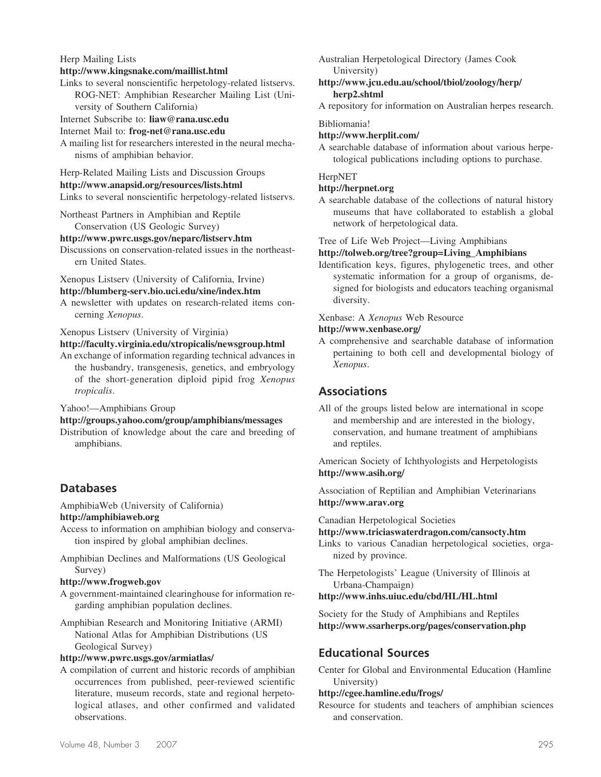#### Herp Mailing Lists

#### **http://www.kingsnake.com/maillist.html**

- Links to several nonscientific herpetology-related listservs. ROG-NET: Amphibian Researcher Mailing List (University of Southern California)
- Internet Subscribe to: **liaw@rana.usc.edu**

#### Internet Mail to: **frog-net@rana.usc.edu**

A mailing list for researchers interested in the neural mechanisms of amphibian behavior.

# Herp-Related Mailing Lists and Discussion Groups

#### **http://www.anapsid.org/resources/lists.html**

Links to several nonscientific herpetology-related listservs.

Northeast Partners in Amphibian and Reptile Conservation (US Geologic Survey)

#### **http://www.pwrc.usgs.gov/neparc/listserv.htm**

Discussions on conservation-related issues in the northeastern United States.

Xenopus Listserv (University of California, Irvine) **http://blumberg-serv.bio.uci.edu/xine/index.htm**

A newsletter with updates on research-related items concerning *Xenopus*.

# Xenopus Listserv (University of Virginia)

### **http://faculty.virginia.edu/xtropicalis/newsgroup.html**

An exchange of information regarding technical advances in the husbandry, transgenesis, genetics, and embryology of the short-generation diploid pipid frog *Xenopus tropicalis*.

Yahoo!—Amphibians Group

# **http://groups.yahoo.com/group/amphibians/messages**

Distribution of knowledge about the care and breeding of amphibians.

# **Databases**

### AmphibiaWeb (University of California)

#### **http://amphibiaweb.org**

- Access to information on amphibian biology and conservation inspired by global amphibian declines.
- Amphibian Declines and Malformations (US Geological Survey)

#### **http://www.frogweb.gov**

A government-maintained clearinghouse for information regarding amphibian population declines.

Amphibian Research and Monitoring Initiative (ARMI) National Atlas for Amphibian Distributions (US Geological Survey)

#### **http://www.pwrc.usgs.gov/armiatlas/**

A compilation of current and historic records of amphibian occurrences from published, peer-reviewed scientific literature, museum records, state and regional herpetological atlases, and other confirmed and validated observations.

Australian Herpetological Directory (James Cook University)

**http://www.jcu.edu.au/school/tbiol/zoology/herp/ herp2.shtml**

A repository for information on Australian herpes research.

#### Bibliomania!

### **http://www.herplit.com/**

A searchable database of information about various herpetological publications including options to purchase.

#### **HerpNET**

#### **http://herpnet.org**

A searchable database of the collections of natural history museums that have collaborated to establish a global network of herpetological data.

### Tree of Life Web Project—Living Amphibians

#### **http://tolweb.org/tree?group=Living\_Amphibians**

Identification keys, figures, phylogenetic trees, and other systematic information for a group of organisms, designed for biologists and educators teaching organismal diversity.

#### Xenbase: A *Xenopus* Web Resource

#### **http://www.xenbase.org/**

A comprehensive and searchable database of information pertaining to both cell and developmental biology of *Xenopus*.

# **Associations**

All of the groups listed below are international in scope and membership and are interested in the biology, conservation, and humane treatment of amphibians and reptiles.

American Society of Ichthyologists and Herpetologists **http://www.asih.org/**

Association of Reptilian and Amphibian Veterinarians **http://www.arav.org**

Canadian Herpetological Societies

**http://www.triciaswaterdragon.com/cansocty.htm**

Links to various Canadian herpetological societies, organized by province.

The Herpetologists' League (University of Illinois at Urbana-Champaign)

#### **http://www.inhs.uiuc.edu/cbd/HL/HL.html**

Society for the Study of Amphibians and Reptiles **http://www.ssarherps.org/pages/conservation.php**

# **Educational Sources**

Center for Global and Environmental Education (Hamline University)

#### **http://cgee.hamline.edu/frogs/**

Resource for students and teachers of amphibian sciences and conservation.